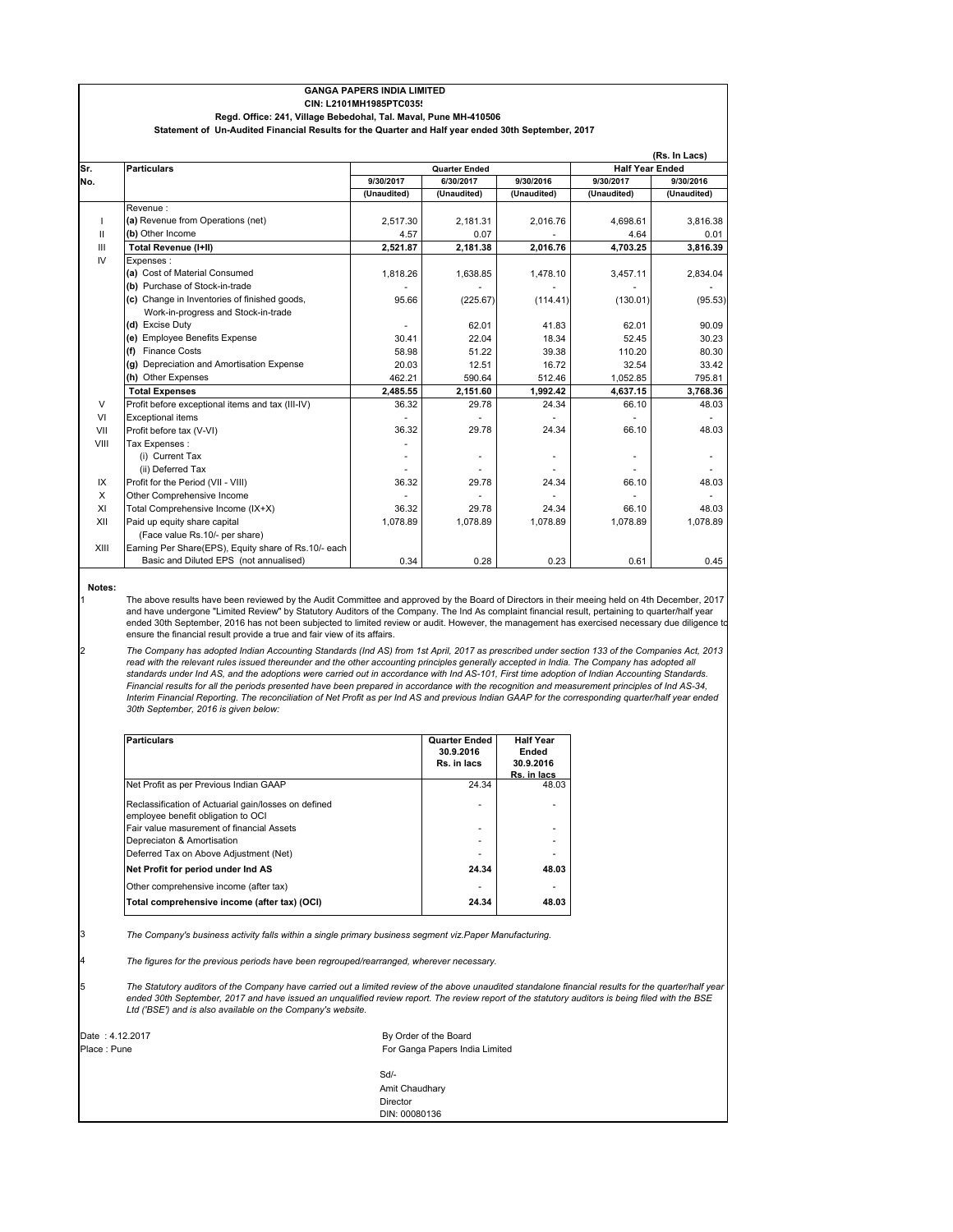|                | Regd. Office: 241, Village Bebedohal, Tal. Maval, Pune MH-410506                                   | <b>GANGA PAPERS INDIA LIMITED</b><br>CIN: L2101MH1985PTC035 |                      |             |             |                                         |  |  |
|----------------|----------------------------------------------------------------------------------------------------|-------------------------------------------------------------|----------------------|-------------|-------------|-----------------------------------------|--|--|
|                | Statement of Un-Audited Financial Results for the Quarter and Half year ended 30th September, 2017 |                                                             |                      |             |             |                                         |  |  |
| Sr.            | <b>Particulars</b>                                                                                 |                                                             | <b>Quarter Ended</b> |             |             | (Rs. In Lacs)<br><b>Half Year Ended</b> |  |  |
| No.            |                                                                                                    | 9/30/2017                                                   | 6/30/2017            | 9/30/2016   | 9/30/2017   | 9/30/2016                               |  |  |
|                |                                                                                                    | (Unaudited)                                                 | (Unaudited)          | (Unaudited) | (Unaudited) | (Unaudited)                             |  |  |
|                | Revenue:                                                                                           |                                                             |                      |             |             |                                         |  |  |
| $\mathbf{I}$   | (a) Revenue from Operations (net)                                                                  | 2.517.30                                                    | 2,181.31             | 2,016.76    | 4.698.61    | 3,816.38                                |  |  |
| $\mathbf{H}$   | (b) Other Income                                                                                   | 4.57                                                        | 0.07                 |             | 4.64        | 0.01                                    |  |  |
| $\mathbf{III}$ | Total Revenue (I+II)                                                                               | 2,521.87                                                    | 2,181.38             | 2,016.76    | 4.703.25    | 3.816.39                                |  |  |
| IV             | Expenses:                                                                                          |                                                             |                      |             |             |                                         |  |  |
|                | (a) Cost of Material Consumed                                                                      | 1,818.26                                                    | 1,638.85             | 1,478.10    | 3,457.11    | 2,834.04                                |  |  |
|                | (b) Purchase of Stock-in-trade                                                                     |                                                             |                      |             |             |                                         |  |  |
|                | (c) Change in Inventories of finished goods,                                                       | 95.66                                                       | (225.67)             | (114.41)    | (130.01)    | (95.53)                                 |  |  |
|                | Work-in-progress and Stock-in-trade                                                                |                                                             |                      |             |             |                                         |  |  |
|                | (d) Excise Duty                                                                                    |                                                             | 62.01                | 41.83       | 62.01       | 90.09                                   |  |  |
|                | (e) Employee Benefits Expense                                                                      | 30.41                                                       | 22.04                | 18.34       | 52.45       | 30.23                                   |  |  |
|                | (f) Finance Costs                                                                                  | 58.98                                                       | 51.22                | 39.38       | 110.20      | 80.30                                   |  |  |
|                | (g) Depreciation and Amortisation Expense                                                          | 20.03                                                       | 12.51                | 16.72       | 32.54       | 33.42                                   |  |  |
|                | (h) Other Expenses                                                                                 | 462.21                                                      | 590.64               | 512.46      | 1,052.85    | 795.81                                  |  |  |
|                | <b>Total Expenses</b>                                                                              | 2,485.55                                                    | 2,151.60             | 1,992.42    | 4,637.15    | 3,768.36                                |  |  |
| V              | Profit before exceptional items and tax (III-IV)                                                   | 36.32                                                       | 29.78                | 24.34       | 66.10       | 48.03                                   |  |  |
| VI             | <b>Exceptional items</b>                                                                           |                                                             |                      |             |             |                                         |  |  |
| VII            | Profit before tax (V-VI)                                                                           | 36.32                                                       | 29.78                | 24.34       | 66.10       | 48.03                                   |  |  |
| VIII           | Tax Expenses:                                                                                      |                                                             |                      |             |             |                                         |  |  |
|                | (i) Current Tax                                                                                    |                                                             | ۰                    |             |             |                                         |  |  |
|                | (ii) Deferred Tax                                                                                  |                                                             |                      |             |             |                                         |  |  |
| IX             | Profit for the Period (VII - VIII)                                                                 | 36.32                                                       | 29.78                | 24.34       | 66.10       | 48.03                                   |  |  |
| X              | Other Comprehensive Income                                                                         |                                                             |                      |             |             |                                         |  |  |
| XI             | Total Comprehensive Income (IX+X)                                                                  | 36.32                                                       | 29.78                | 24.34       | 66.10       | 48.03                                   |  |  |
| XII            | Paid up equity share capital                                                                       | 1,078.89                                                    | 1,078.89             | 1,078.89    | 1,078.89    | 1,078.89                                |  |  |
|                | (Face value Rs 10/- per share)                                                                     |                                                             |                      |             |             |                                         |  |  |

## **Notes:**

1

2

XIII Earning Per Share(EPS), Equity share of Rs.10/- each

The above results have been reviewed by the Audit Committee and approved by the Board of Directors in their meeing held on 4th December, 2017 and have undergone "Limited Review" by Statutory Auditors of the Company. The Ind As complaint financial result, pertaining to quarter/half year ended 30th September, 2016 has not been subjected to limited review or audit. However, the management has exercised necessary due diligence t ensure the financial result provide a true and fair view of its affairs.

Basic and Diluted EPS (not annualised) 0.34 0.28 0.23 0.23 0.61 0.45

*The Company has adopted Indian Accounting Standards (Ind AS) from 1st April, 2017 as prescribed under section 133 of the Companies Act, 2013*  read with the relevant rules issued thereunder and the other accounting principles generally accepted in India. The Company has adopted all *standards under Ind AS, and the adoptions were carried out in accordance with Ind AS-101, First time adoption of Indian Accounting Standards. Financial results for all the periods presented have been prepared in accordance with the recognition and measurement principles of Ind AS-34, Interim Financial Reporting. The reconciliation of Net Profit as per Ind AS and previous Indian GAAP for the corresponding quarter/half year ended 30th September, 2016 is given below:*

| <b>Particulars</b>                                                                         | <b>Quarter Ended</b><br>30.9.2016<br>Rs. in lacs | <b>Half Year</b><br>Ended<br>30.9.2016<br>Rs. in lacs |
|--------------------------------------------------------------------------------------------|--------------------------------------------------|-------------------------------------------------------|
| Net Profit as per Previous Indian GAAP                                                     | 24.34                                            | 48.03                                                 |
| Reclassification of Actuarial gain/losses on defined<br>employee benefit obligation to OCI |                                                  |                                                       |
| Fair value masurement of financial Assets                                                  |                                                  |                                                       |
| Depreciaton & Amortisation                                                                 |                                                  |                                                       |
| Deferred Tax on Above Adjustment (Net)                                                     |                                                  |                                                       |
| Net Profit for period under Ind AS                                                         | 24.34                                            | 48.03                                                 |
| Other comprehensive income (after tax)                                                     | ٠                                                |                                                       |
| Total comprehensive income (after tax) (OCI)                                               | 24.34                                            | 48.03                                                 |

3 *The Company's business activity falls within a single primary business segment viz.Paper Manufacturing.*

4 *The figures for the previous periods have been regrouped/rearranged, wherever necessary.*

|                                                             | The Statutory auditors of the Company have carried out a limited review of the above unaudited standalone financial results for the quarter/half year |  |
|-------------------------------------------------------------|-------------------------------------------------------------------------------------------------------------------------------------------------------|--|
|                                                             | ended 30th September, 2017 and have issued an unqualified review report. The review report of the statutory auditors is being filed with the BSE      |  |
| Ltd ('BSE') and is also available on the Company's website. |                                                                                                                                                       |  |

| Date: 4.12.2017 |  |  |  |
|-----------------|--|--|--|
| Place: Pune     |  |  |  |
|                 |  |  |  |

For Ganga Papers India Limited Sd/- Amit Chaudhary Director DIN: 00080136 By Order of the Board